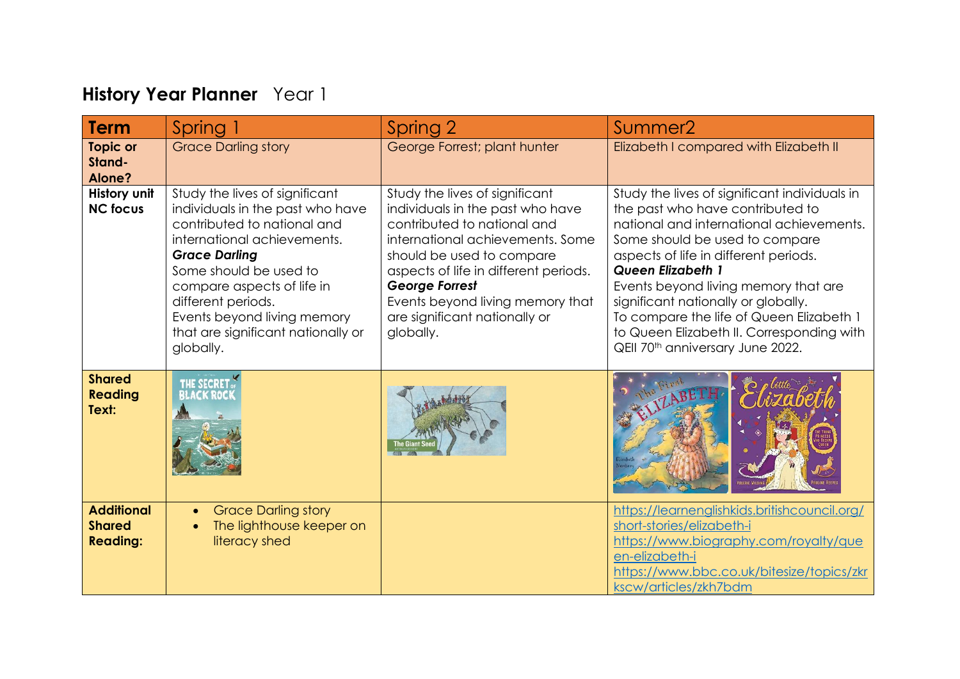## **History Year Planner** Year 1

| <b>Term</b>                                           | Spring 1                                                                                                                                                                                                                                                                                                                 | Spring 2                                                                                                                                                                                                                                                                                                               | Summer <sub>2</sub>                                                                                                                                                                                                                                                                                                                                                                                                                                          |
|-------------------------------------------------------|--------------------------------------------------------------------------------------------------------------------------------------------------------------------------------------------------------------------------------------------------------------------------------------------------------------------------|------------------------------------------------------------------------------------------------------------------------------------------------------------------------------------------------------------------------------------------------------------------------------------------------------------------------|--------------------------------------------------------------------------------------------------------------------------------------------------------------------------------------------------------------------------------------------------------------------------------------------------------------------------------------------------------------------------------------------------------------------------------------------------------------|
| <b>Topic or</b><br>Stand-<br>Alone?                   | <b>Grace Darling story</b>                                                                                                                                                                                                                                                                                               | George Forrest; plant hunter                                                                                                                                                                                                                                                                                           | Elizabeth I compared with Elizabeth II                                                                                                                                                                                                                                                                                                                                                                                                                       |
| History unit<br><b>NC focus</b>                       | Study the lives of significant<br>individuals in the past who have<br>contributed to national and<br>international achievements.<br><b>Grace Darling</b><br>Some should be used to<br>compare aspects of life in<br>different periods.<br>Events beyond living memory<br>that are significant nationally or<br>globally. | Study the lives of significant<br>individuals in the past who have<br>contributed to national and<br>international achievements. Some<br>should be used to compare<br>aspects of life in different periods.<br><b>George Forrest</b><br>Events beyond living memory that<br>are significant nationally or<br>globally. | Study the lives of significant individuals in<br>the past who have contributed to<br>national and international achievements.<br>Some should be used to compare<br>aspects of life in different periods.<br><b>Queen Elizabeth 1</b><br>Events beyond living memory that are<br>significant nationally or globally.<br>To compare the life of Queen Elizabeth 1<br>to Queen Elizabeth II. Corresponding with<br>QEII 70 <sup>th</sup> anniversary June 2022. |
| <b>Shared</b><br><b>Reading</b><br>Text:              | <b>THE SECRET</b><br>BLACK ROCK                                                                                                                                                                                                                                                                                          |                                                                                                                                                                                                                                                                                                                        |                                                                                                                                                                                                                                                                                                                                                                                                                                                              |
| <b>Additional</b><br><b>Shared</b><br><b>Reading:</b> | <b>Grace Darling story</b><br>$\bullet$<br>The lighthouse keeper on<br>$\bullet$<br>literacy shed                                                                                                                                                                                                                        |                                                                                                                                                                                                                                                                                                                        | https://learnenglishkids.britishcouncil.org/<br>short-stories/elizabeth-i<br>https://www.biography.com/royalty/que<br>en-elizabeth-i<br>https://www.bbc.co.uk/bitesize/topics/zkr<br>kscw/articles/zkh7bdm                                                                                                                                                                                                                                                   |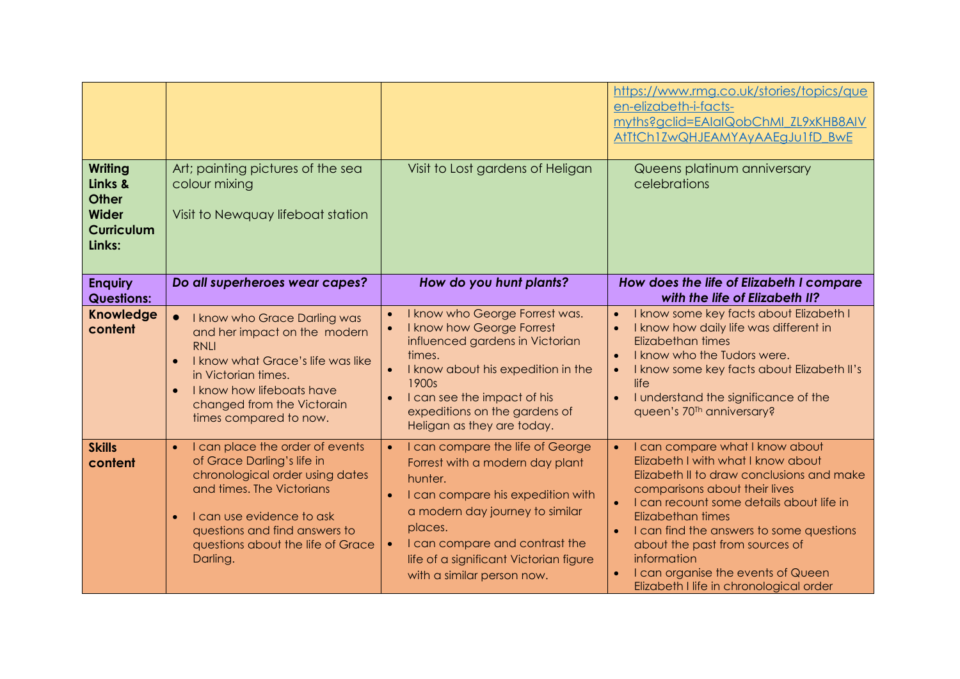| <b>Writing</b>                                                  | Art; painting pictures of the sea                                                                                                                                                                                                                                      | Visit to Lost gardens of Heligan                                                                                                                                                                                                                                                         | https://www.rmg.co.uk/stories/topics/que<br>en-elizabeth-i-facts-<br>myths?gclid=EAIaIQobChMI_ZL9xKHB8AIV<br>AtTtCh1ZwQHJEAMYAyAAEgJu1fD_BwE<br>Queens platinum anniversary                                                                                                                                                                                                                                     |
|-----------------------------------------------------------------|------------------------------------------------------------------------------------------------------------------------------------------------------------------------------------------------------------------------------------------------------------------------|------------------------------------------------------------------------------------------------------------------------------------------------------------------------------------------------------------------------------------------------------------------------------------------|-----------------------------------------------------------------------------------------------------------------------------------------------------------------------------------------------------------------------------------------------------------------------------------------------------------------------------------------------------------------------------------------------------------------|
| Links &<br><b>Other</b><br>Wider<br><b>Curriculum</b><br>Links: | colour mixing<br>Visit to Newquay lifeboat station                                                                                                                                                                                                                     |                                                                                                                                                                                                                                                                                          | celebrations                                                                                                                                                                                                                                                                                                                                                                                                    |
| <b>Enquiry</b><br><b>Questions:</b>                             | Do all superheroes wear capes?                                                                                                                                                                                                                                         | How do you hunt plants?                                                                                                                                                                                                                                                                  | How does the life of Elizabeth I compare<br>with the life of Elizabeth II?                                                                                                                                                                                                                                                                                                                                      |
| <b>Knowledge</b><br>content                                     | I know who Grace Darling was<br>$\bullet$<br>and her impact on the modern<br><b>RNLI</b><br>I know what Grace's life was like<br>$\bullet$<br>in Victorian times.<br>I know how lifeboats have<br>$\bullet$<br>changed from the Victorain<br>times compared to now.    | I know who George Forrest was.<br>I know how George Forrest<br>influenced gardens in Victorian<br>times.<br>I know about his expedition in the<br>1900s<br>I can see the impact of his<br>expeditions on the gardens of<br>Heligan as they are today.                                    | I know some key facts about Elizabeth I<br>$\bullet$<br>I know how daily life was different in<br>Elizabethan times<br>I know who the Tudors were.<br>I know some key facts about Elizabeth II's<br>life<br>I understand the significance of the<br>queen's 70 <sup>Th</sup> anniversary?                                                                                                                       |
| <b>Skills</b><br>content                                        | I can place the order of events<br>$\bullet$<br>of Grace Darling's life in<br>chronological order using dates<br>and times. The Victorians<br>I can use evidence to ask<br>$\bullet$<br>questions and find answers to<br>questions about the life of Grace<br>Darling. | I can compare the life of George<br>Forrest with a modern day plant<br>hunter.<br>I can compare his expedition with<br>a modern day journey to similar<br>places.<br>I can compare and contrast the<br>$\bullet$<br>life of a significant Victorian figure<br>with a similar person now. | I can compare what I know about<br>Elizabeth I with what I know about<br>Elizabeth II to draw conclusions and make<br>comparisons about their lives<br>I can recount some details about life in<br>$\bullet$<br>Elizabethan times<br>I can find the answers to some questions<br>about the past from sources of<br>information<br>I can organise the events of Queen<br>Elizabeth I life in chronological order |